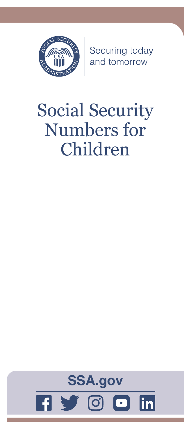

Securing today<br>and tomorrow

# Social Security Numbers for Children

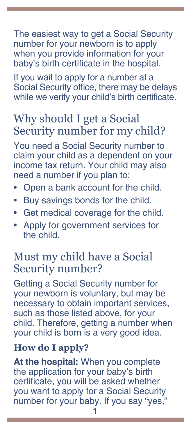The easiest way to get a Social Security number for your newborn is to apply when you provide information for your baby's birth certificate in the hospital.

If you wait to apply for a number at a Social Security office, there may be delays while we verify your child's birth certificate.

# Why should I get a Social Security number for my child?

You need a Social Security number to claim your child as a dependent on your income tax return. Your child may also need a number if you plan to:

- Open a bank account for the child.
- Buy savings bonds for the child.
- Get medical coverage for the child.
- Apply for government services for the child.

## Must my child have a Social Security number?

Getting a Social Security number for your newborn is voluntary, but may be necessary to obtain important services, such as those listed above, for your child. Therefore, getting a number when your child is born is a very good idea.

### **How do I apply?**

**At the hospital:** When you complete the application for your baby's birth certificate, you will be asked whether you want to apply for a Social Security number for your baby. If you say "yes,"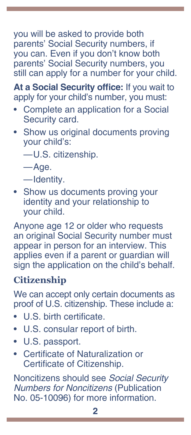you will be asked to provide both parents' Social Security numbers, if you can. Even if you don't know both parents' Social Security numbers, you still can apply for a number for your child.

**At a Social Security office:** If you wait to apply for your child's number, you must:

- Complete an application for a Social Security card.
- Show us original documents proving your child's:

—U.S. citizenship.

—Age.

—Identity.

Show us documents proving your identity and your relationship to your child.

Anyone age 12 or older who requests an original Social Security number must appear in person for an interview. This applies even if a parent or guardian will sign the application on the child's behalf.

### **Citizenship**

We can accept only certain documents as proof of U.S. citizenship. These include a:

- U.S. birth certificate.
- U.S. consular report of birth.
- U.S. passport.
- Certificate of Naturalization or Certificate of Citizenship.

Noncitizens should see *[Social Security](https://www.ssa.gov/pubs/EN-05-10096.pdf)  [Numbers for Noncitizens](https://www.ssa.gov/pubs/EN-05-10096.pdf)* [\(Publication](https://www.socialsecurity.gov/pubs/EN-05-10096.pdf)  [No. 05-10096\)](https://www.socialsecurity.gov/pubs/EN-05-10096.pdf) for more information.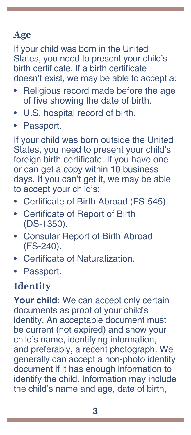### **Age**

If your child was born in the United States, you need to present your child's birth certificate. If a birth certificate doesn't exist, we may be able to accept a:

- Religious record made before the age of five showing the date of birth.
- U.S. hospital record of birth.
- Passport.

If your child was born outside the United States, you need to present your child's foreign birth certificate. If you have one or can get a copy within 10 business days. If you can't get it, we may be able to accept your child's:

- Certificate of Birth Abroad (FS-545).
- Certificate of Report of Birth (DS-1350).
- Consular Report of Birth Abroad (FS-240).
- Certificate of Naturalization.
- Passport.

### **Identity**

Your child: We can accept only certain documents as proof of your child's identity. An acceptable document must be current (not expired) and show your child's name, identifying information, and preferably, a recent photograph. We generally can accept a non-photo identity document if it has enough information to identify the child. Information may include the child's name and age, date of birth,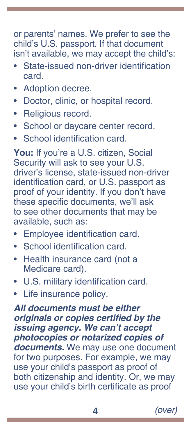or parents' names. We prefer to see the child's U.S. passport. If that document isn't available, we may accept the child's:

- State-issued non-driver identification card.
- Adoption decree.
- Doctor, clinic, or hospital record.
- Religious record.
- School or daycare center record.
- School identification card.

**You:** If you're a U.S. citizen, Social Security will ask to see your U.S. driver's license, state-issued non-driver identification card, or U.S. passport as proof of your identity. If you don't have these specific documents, we'll ask to see other documents that may be available, such as:

- Employee identification card.
- School identification card.
- Health insurance card (not a Medicare card).
- U.S. military identification card.
- Life insurance policy.

*All documents must be either*  **originals or copies certified by the issuing agency. We can't accept**  *photocopies or notarized copies of*  **documents.** We may use one document for two purposes. For example, we may use your child's passport as proof of both citizenship and identity. Or, we may use your child's birth certificate as proof

**4** *(over)*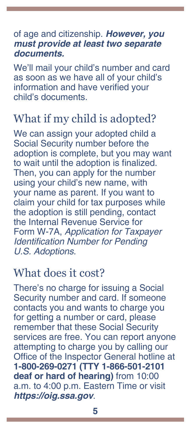#### of age and citizenship. **However, you**  *must provide at least two separate*  **documents.**

We'll mail your child's number and card as soon as we have all of your child's information and have verified your child's documents.

# What if my child is adopted?

We can assign your adopted child a Social Security number before the adoption is complete, but you may want to wait until the adoption is finalized. Then, you can apply for the number using your child's new name, with your name as parent. If you want to claim your child for tax purposes while the adoption is still pending, contact the Internal Revenue Service for Form W-7A, *[Application for Taxpayer](https://www.irs.gov/pub/irs-pdf/fw7a.pdf)*  [Identification Number for Pending](https://www.irs.gov/pub/irs-pdf/fw7a.pdf)  *[U.S. Adoptions](https://www.irs.gov/pub/irs-pdf/fw7a.pdf)*.

### What does it cost?

There's no charge for issuing a Social Security number and card. If someone contacts you and wants to charge you for getting a number or card, please remember that these Social Security services are free. You can report anyone attempting to charge you by calling our Office of the Inspector General hotline at **1-800-269-0271 (TTY 1-866-501-2101 deaf or hard of hearing)** from 10:00 a.m. to 4:00 p.m. Eastern Time or visit **[https://oig.ssa.gov](https://oig.ssa.gov/)**.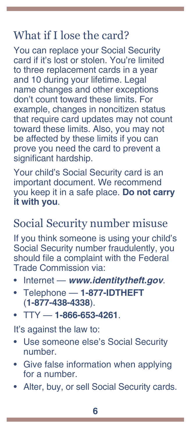# What if I lose the card?

You can replace your Social Security card if it's lost or stolen. You're limited to three replacement cards in a year and 10 during your lifetime. Legal name changes and other exceptions don't count toward these limits. For example, changes in noncitizen status that require card updates may not count toward these limits. Also, you may not be affected by these limits if you can prove you need the card to prevent a significant hardship.

Your child's Social Security card is an important document. We recommend you keep it in a safe place. **Do not carry it with you**.

# Social Security number misuse

If you think someone is using your child's Social Security number fraudulently, you should file a complaint with the Federal Trade Commission via:

- Internet **www.[identitytheft](https://www.identitytheft.gov/).gov**.
- Telephone **1-877-IDTHEFT** (**1-877-438-4338**).
- TTY **1-866-653-4261**.

It's against the law to:

- Use someone else's Social Security number.
- Give false information when applying for a number.
- Alter, buy, or sell Social Security cards.